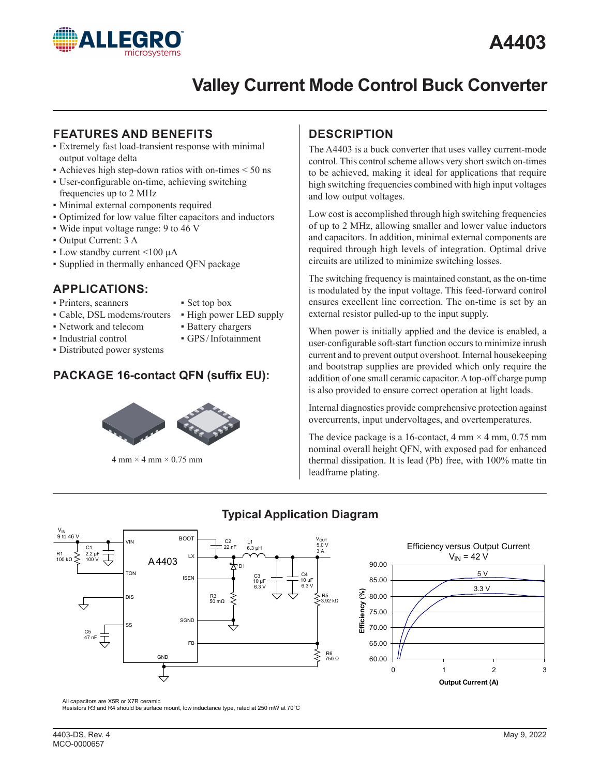

# **Valley Current Mode Control Buck Converter**

# **FEATURES AND BENEFITS**

- **Extremely fast load-transient response with minimal** output voltage delta
- $\bullet$  Achieves high step-down ratios with on-times  $\leq 50$  ns
- ▪ User-configurable on-time, achieving switching frequencies up to 2 MHz
- **Minimal external components required**
- Optimized for low value filter capacitors and inductors
- Wide input voltage range: 9 to 46 V
- ▪ Output Current: 3 A
- $\bullet$  Low standby current <100  $\mu$ A
- **·** Supplied in thermally enhanced QFN package

# **APPLICATIONS:**

**• Printers, scanners** 

**·** Industrial control

- ▪ Set top box • High power LED supply
- Cable, DSL modems/routers • Network and telecom
- **Battery chargers**
- **·** GPS/Infotainment
- **•** Distributed power systems
- 
- 

# **PACKAGE 16-contact QFN (suffix EU):**



 $4 \text{ mm} \times 4 \text{ mm} \times 0.75 \text{ mm}$ 

# **DESCRIPTION**

The A4403 is a buck converter that uses valley current-mode control. This control scheme allows very short switch on-times to be achieved, making it ideal for applications that require high switching frequencies combined with high input voltages and low output voltages.

Low cost is accomplished through high switching frequencies of up to 2 MHz, allowing smaller and lower value inductors and capacitors. In addition, minimal external components are required through high levels of integration. Optimal drive circuits are utilized to minimize switching losses.

The switching frequency is maintained constant, as the on-time is modulated by the input voltage. This feed-forward control ensures excellent line correction. The on-time is set by an external resistor pulled-up to the input supply.

When power is initially applied and the device is enabled, a user-configurable soft-start function occurs to minimize inrush current and to prevent output overshoot. Internal housekeeping and bootstrap supplies are provided which only require the addition of one small ceramic capacitor. A top-off charge pump is also provided to ensure correct operation at light loads.

Internal diagnostics provide comprehensive protection against overcurrents, input undervoltages, and overtemperatures.

The device package is a 16-contact,  $4 \text{ mm} \times 4 \text{ mm}$ , 0.75 mm nominal overall height QFN, with exposed pad for enhanced thermal dissipation. It is lead (Pb) free, with 100% matte tin leadframe plating.



# **Typical Application Diagram**



All capacitors are X5R or X7R ceramic

Resistors R3 and R4 should be surface mount, low inductance type, rated at 250 mW at 70°C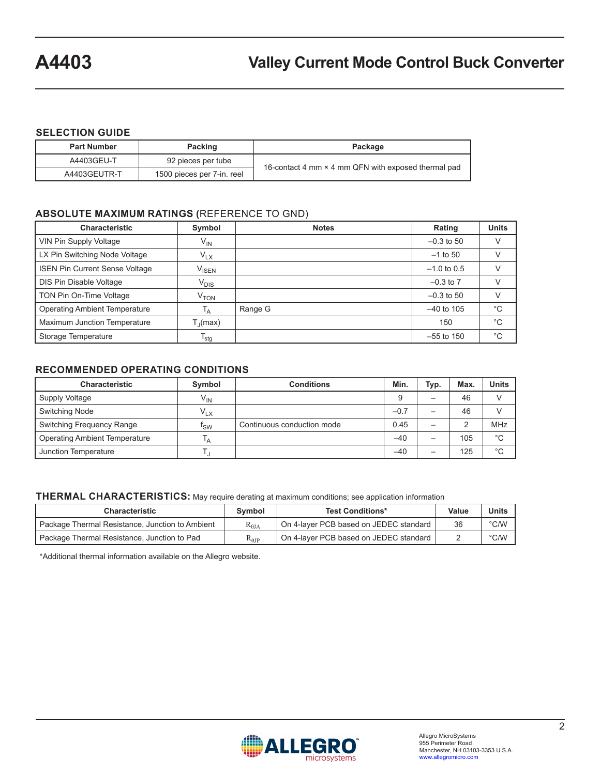### **SELECTION GUIDE**

| <b>Part Number</b> | Packing<br>Package         |                                                     |  |
|--------------------|----------------------------|-----------------------------------------------------|--|
| A4403GEU-T         | 92 pieces per tube         | 16-contact 4 mm × 4 mm QFN with exposed thermal pad |  |
| A4403GEUTR-T       | 1500 pieces per 7-in. reel |                                                     |  |

## **ABSOLUTE MAXIMUM RATINGS (**REFERENCE TO GND)

| <b>Characteristic</b>                 | Symbol                       | <b>Notes</b> | Rating        | <b>Units</b> |
|---------------------------------------|------------------------------|--------------|---------------|--------------|
| VIN Pin Supply Voltage                | $V_{IN}$                     |              | $-0.3$ to 50  | V            |
| LX Pin Switching Node Voltage         | $V_{LX}$                     |              | $-1$ to 50    | V            |
| <b>ISEN Pin Current Sense Voltage</b> | $\mathsf{V}_{\mathsf{ISEN}}$ |              | $-1.0$ to 0.5 | $\vee$       |
| DIS Pin Disable Voltage               | $V_{DIS}$                    |              | $-0.3$ to $7$ | V            |
| TON Pin On-Time Voltage               | V <sub>TON</sub>             |              | $-0.3$ to 50  | $\vee$       |
| <b>Operating Ambient Temperature</b>  | T <sub>A</sub>               | Range G      | $-40$ to 105  | $^{\circ}C$  |
| Maximum Junction Temperature          | $T_{\rm J}$ (max)            |              | 150           | $^{\circ}C$  |
| Storage Temperature                   | $T_{\text{stg}}$             |              | $-55$ to 150  | $^{\circ}C$  |

### **RECOMMENDED OPERATING CONDITIONS**

| <b>Characteristic</b>                | Symbol            | <b>Conditions</b>          | Min.   | Typ. | Max. | Units       |
|--------------------------------------|-------------------|----------------------------|--------|------|------|-------------|
| Supply Voltage                       | $V_{IN}$          |                            |        |      | 46   |             |
| Switching Node                       | $\mathsf{V_{LX}}$ |                            | $-0.7$ |      | 46   |             |
| Switching Frequency Range            | <sup>I</sup> sw   | Continuous conduction mode | 0.45   |      |      | MHz         |
| <b>Operating Ambient Temperature</b> | ١A                |                            | $-40$  |      | 105  | $^{\circ}C$ |
| Junction Temperature                 |                   |                            | $-40$  |      | 125  | °C          |

### **THERMAL CHARACTERISTICS:** May require derating at maximum conditions; see application information

| <b>Characteristic</b>                           | Symbol                 | <b>Test Conditions*</b>                | Value | Units         |
|-------------------------------------------------|------------------------|----------------------------------------|-------|---------------|
| Package Thermal Resistance, Junction to Ambient | $\rm R_{\rm \thetaJA}$ | On 4-laver PCB based on JEDEC standard | 36    | $\degree$ C/W |
| Package Thermal Resistance, Junction to Pad     | $\rm R_{0JP}$          | On 4-layer PCB based on JEDEC standard |       | $\degree$ C/W |

\*Additional thermal information available on the Allegro website.

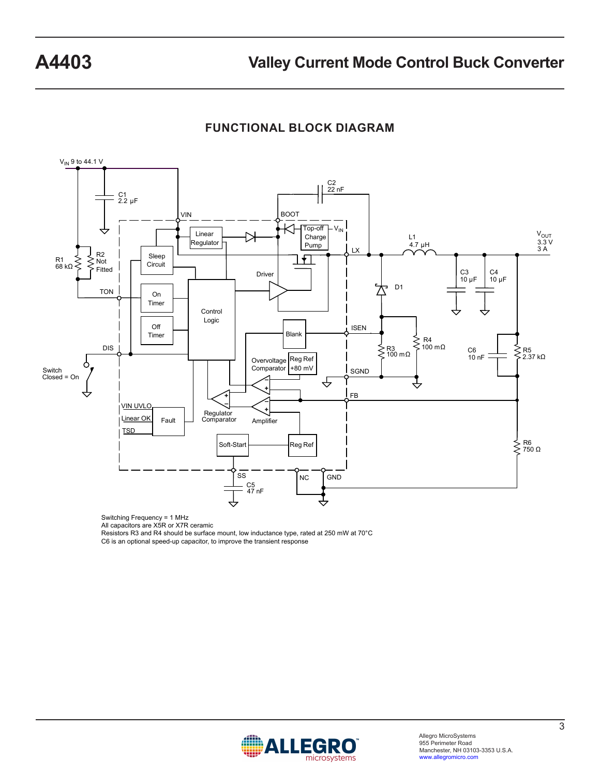**FUNCTIONAL BLOCK DIAGRAM**



Switching Frequency = 1 MHz

All capacitors are X5R or X7R ceramic

Resistors R3 and R4 should be surface mount, low inductance type, rated at 250 mW at 70°C C6 is an optional speed-up capacitor, to improve the transient response

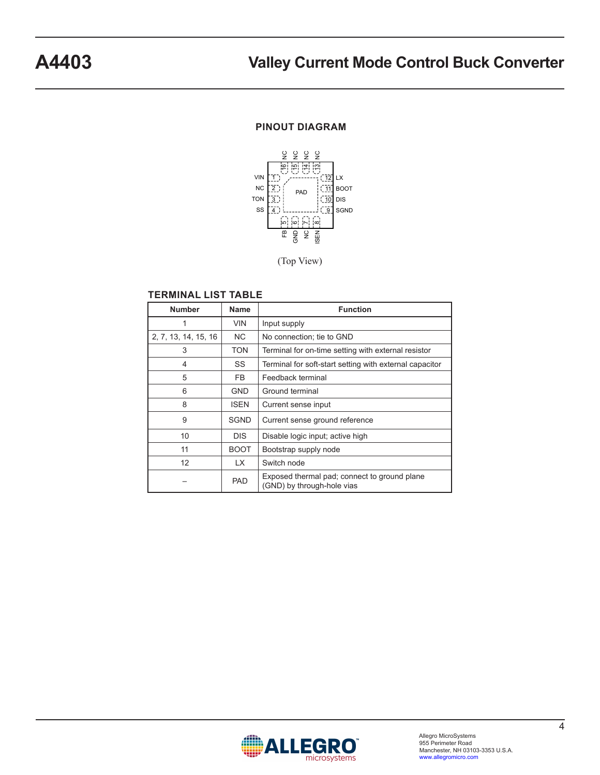### **PINOUT DIAGRAM**



(Top View)

#### **TERMINAL LIST TABLE**

| <b>Number</b>        | <b>Name</b> | <b>Function</b>                                                            |
|----------------------|-------------|----------------------------------------------------------------------------|
| 1                    | <b>VIN</b>  | Input supply                                                               |
| 2, 7, 13, 14, 15, 16 | NC.         | No connection; tie to GND                                                  |
| 3                    | TON         | Terminal for on-time setting with external resistor                        |
| 4                    | SS          | Terminal for soft-start setting with external capacitor                    |
| 5                    | FB.         | Feedback terminal                                                          |
| 6                    | <b>GND</b>  | Ground terminal                                                            |
| 8                    | <b>ISEN</b> | Current sense input                                                        |
| 9                    | <b>SGND</b> | Current sense ground reference                                             |
| 10                   | <b>DIS</b>  | Disable logic input; active high                                           |
| 11                   | <b>BOOT</b> | Bootstrap supply node                                                      |
| 12                   | LX.         | Switch node                                                                |
|                      | <b>PAD</b>  | Exposed thermal pad; connect to ground plane<br>(GND) by through-hole vias |

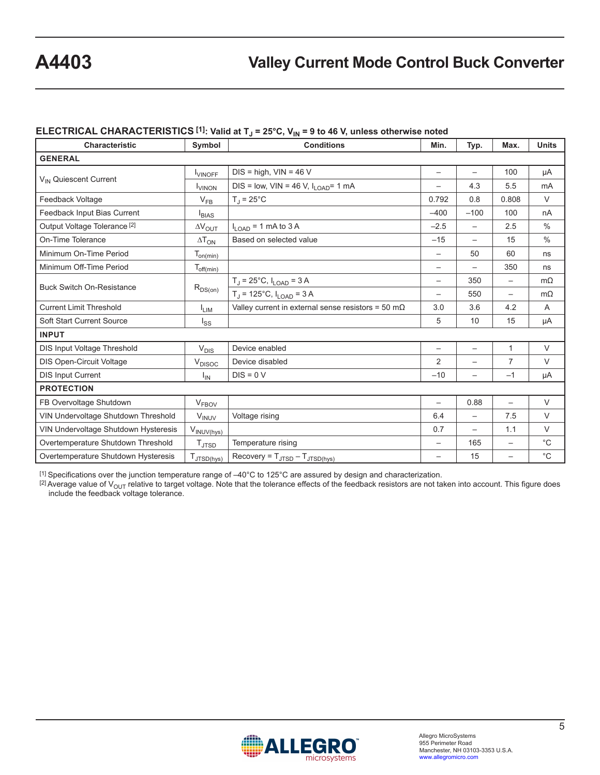# **A4403 Valley Current Mode Control Buck Converter**

## ELECTRICAL CHARACTERISTICS<sup>[1]</sup>: Valid at T<sub>J</sub> = 25°C, V<sub>IN</sub> = 9 to 46 V, unless otherwise noted

| <b>Characteristic</b>                   | Symbol                     | <b>Conditions</b>                                          | Min.                     | Typ.                     | Max.                     | <b>Units</b>  |
|-----------------------------------------|----------------------------|------------------------------------------------------------|--------------------------|--------------------------|--------------------------|---------------|
| <b>GENERAL</b>                          |                            |                                                            |                          |                          |                          |               |
|                                         | <b>LUINOFF</b>             | $DIS = high, VIN = 46 V$                                   |                          | $\overline{\phantom{0}}$ | 100                      | μA            |
| V <sub>IN</sub> Quiescent Current       | <b>VINON</b>               | $DIS = low$ , $VIN = 46 V$ , $I_{LOAD} = 1 mA$             |                          | 4.3                      | 5.5                      | mA            |
| Feedback Voltage                        | $V_{FB}$                   | $T_{\rm d}$ = 25°C                                         | 0.792                    | 0.8                      | 0.808                    | V             |
| Feedback Input Bias Current             | $I_{BIAS}$                 |                                                            | $-400$                   | $-100$                   | 100                      | nA            |
| Output Voltage Tolerance <sup>[2]</sup> | $\Delta V_{OUT}$           | $I_{LOAD}$ = 1 mA to 3 A                                   | $-2.5$                   |                          | 2.5                      | $\frac{0}{0}$ |
| On-Time Tolerance                       | $\Delta T_{ON}$            | Based on selected value                                    | $-15$                    | $\overline{\phantom{0}}$ | 15                       | $\frac{0}{0}$ |
| Minimum On-Time Period                  | $T_{on(\underline{min})}$  |                                                            | $\overline{\phantom{0}}$ | 50                       | 60                       | ns            |
| Minimum Off-Time Period                 | $T_{off(\underline{min})}$ |                                                            |                          | $\overline{\phantom{0}}$ | 350                      | ns            |
| <b>Buck Switch On-Resistance</b>        | $R_{DS(on)}$               | $T_J = 25^{\circ}C$ , $I_{LOAD} = 3 A$                     |                          | 350                      | $\overline{\phantom{0}}$ | $m\Omega$     |
|                                         |                            | $T_J = 125$ °C, $I_{LOAD} = 3$ A                           |                          | 550                      |                          | $m\Omega$     |
| <b>Current Limit Threshold</b>          | $I_{LIM}$                  | Valley current in external sense resistors = 50 m $\Omega$ | 3.0                      | 3.6                      | 4.2                      | A             |
| <b>Soft Start Current Source</b>        | l <sub>SS</sub>            |                                                            | 5                        | 10                       | 15                       | μA            |
| <b>INPUT</b>                            |                            |                                                            |                          |                          |                          |               |
| <b>DIS Input Voltage Threshold</b>      | $V_{DIS}$                  | Device enabled                                             |                          | $\overline{\phantom{0}}$ | $\mathbf{1}$             | V             |
| <b>DIS Open-Circuit Voltage</b>         | $V_{DISOC}$                | Device disabled                                            | 2                        | $\overline{\phantom{0}}$ | 7                        | $\vee$        |
| <b>DIS Input Current</b>                | I <sub>IN</sub>            | $DIS = 0 V$                                                | $-10$                    | $\overline{\phantom{0}}$ | $-1$                     | μA            |
| <b>PROTECTION</b>                       |                            |                                                            |                          |                          |                          |               |
| FB Overvoltage Shutdown                 | V <sub>FBOV</sub>          |                                                            | $\overline{\phantom{0}}$ | 0.88                     | $\overline{\phantom{0}}$ | $\vee$        |
| VIN Undervoltage Shutdown Threshold     | $V_{\text{INV}}$           | Voltage rising                                             | 6.4                      | $\overline{\phantom{0}}$ | 7.5                      | $\vee$        |
| VIN Undervoltage Shutdown Hysteresis    | V <sub>INUV(hys)</sub>     |                                                            | 0.7                      | $\overline{\phantom{0}}$ | 1.1                      | $\vee$        |
| Overtemperature Shutdown Threshold      | $T_{\text{JTSD}}$          | Temperature rising                                         |                          | 165                      |                          | $^{\circ}C$   |
| Overtemperature Shutdown Hysteresis     | TJTSD(hys)                 | $Recovery = T_{JTSD} - T_{JTSD(hys)}$                      |                          | 15                       |                          | $^{\circ}C$   |

[1] Specifications over the junction temperature range of –40°C to 125°C are assured by design and characterization.

 $^{[2]}$  Average value of V<sub>OUT</sub> relative to target voltage. Note that the tolerance effects of the feedback resistors are not taken into account. This figure does include the feedback voltage tolerance.

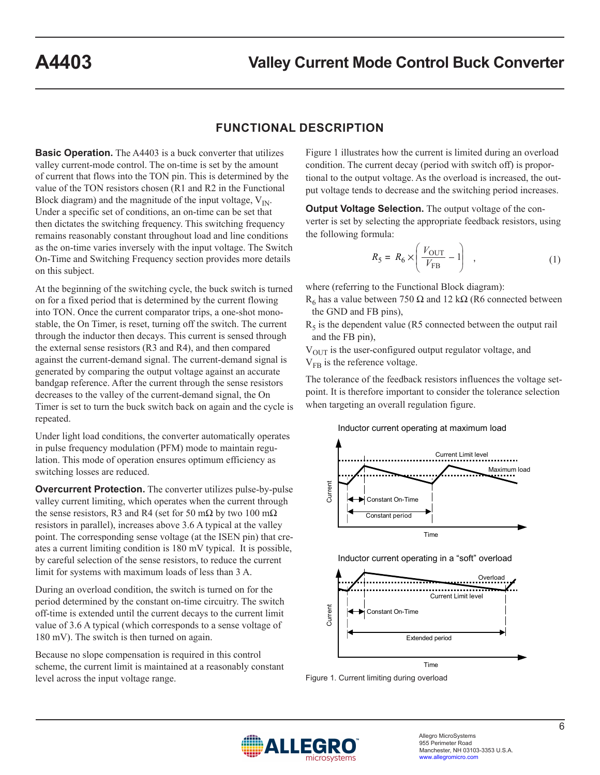## **FUNCTIONAL DESCRIPTION**

**Basic Operation.** The A4403 is a buck converter that utilizes valley current-mode control. The on-time is set by the amount of current that flows into the TON pin. This is determined by the value of the TON resistors chosen (R1 and R2 in the Functional Block diagram) and the magnitude of the input voltage,  $V_{\text{IN}}$ . Under a specific set of conditions, an on-time can be set that then dictates the switching frequency. This switching frequency remains reasonably constant throughout load and line conditions as the on-time varies inversely with the input voltage. The Switch On-Time and Switching Frequency section provides more details on this subject.

At the beginning of the switching cycle, the buck switch is turned on for a fixed period that is determined by the current flowing into TON. Once the current comparator trips, a one-shot monostable, the On Timer, is reset, turning off the switch. The current through the inductor then decays. This current is sensed through the external sense resistors (R3 and R4), and then compared against the current-demand signal. The current-demand signal is generated by comparing the output voltage against an accurate bandgap reference. After the current through the sense resistors decreases to the valley of the current-demand signal, the On Timer is set to turn the buck switch back on again and the cycle is repeated.

Under light load conditions, the converter automatically operates in pulse frequency modulation (PFM) mode to maintain regulation. This mode of operation ensures optimum efficiency as switching losses are reduced.

**Overcurrent Protection.** The converter utilizes pulse-by-pulse valley current limiting, which operates when the current through the sense resistors, R3 and R4 (set for 50 m $\Omega$  by two 100 m $\Omega$ ) resistors in parallel), increases above 3.6 A typical at the valley point. The corresponding sense voltage (at the ISEN pin) that creates a current limiting condition is 180 mV typical. It is possible, by careful selection of the sense resistors, to reduce the current limit for systems with maximum loads of less than 3 A.

During an overload condition, the switch is turned on for the period determined by the constant on-time circuitry. The switch off-time is extended until the current decays to the current limit value of 3.6 A typical (which corresponds to a sense voltage of 180 mV). The switch is then turned on again.

Because no slope compensation is required in this control scheme, the current limit is maintained at a reasonably constant level across the input voltage range.

Figure 1 illustrates how the current is limited during an overload condition. The current decay (period with switch off) is proportional to the output voltage. As the overload is increased, the output voltage tends to decrease and the switching period increases.

**Output Voltage Selection.** The output voltage of the converter is set by selecting the appropriate feedback resistors, using the following formula:

$$
R_5 = R_6 \times \left(\frac{V_{\text{OUT}}}{V_{\text{FB}}} - 1\right) \quad , \tag{1}
$$

where (referring to the Functional Block diagram):

R<sub>6</sub> has a value between 750 Ω and 12 kΩ (R6 connected between the GND and FB pins),

 $R<sub>5</sub>$  is the dependent value (R5 connected between the output rail and the FB pin),

 $V<sub>OUT</sub>$  is the user-configured output regulator voltage, and  $V_{FB}$  is the reference voltage.

The tolerance of the feedback resistors influences the voltage setpoint. It is therefore important to consider the tolerance selection when targeting an overall regulation figure.

#### Inductor current operating at maximum load







Figure 1. Current limiting during overload

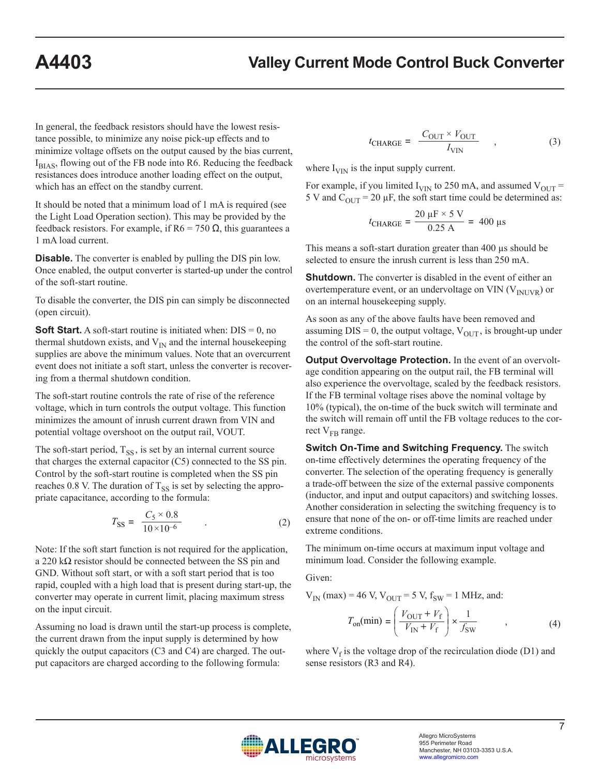In general, the feedback resistors should have the lowest resistance possible, to minimize any noise pick-up effects and to minimize voltage offsets on the output caused by the bias current, IBIAS, flowing out of the FB node into R6. Reducing the feedback resistances does introduce another loading effect on the output, which has an effect on the standby current.

It should be noted that a minimum load of 1 mA is required (see the Light Load Operation section). This may be provided by the feedback resistors. For example, if  $R6 = 750 \Omega$ , this guarantees a 1 mA load current.

**Disable.** The converter is enabled by pulling the DIS pin low. Once enabled, the output converter is started-up under the control of the soft-start routine.

To disable the converter, the DIS pin can simply be disconnected (open circuit).

**Soft Start.** A soft-start routine is initiated when:  $DIS = 0$ , no thermal shutdown exists, and  $V_{IN}$  and the internal housekeeping supplies are above the minimum values. Note that an overcurrent event does not initiate a soft start, unless the converter is recovering from a thermal shutdown condition.

The soft-start routine controls the rate of rise of the reference voltage, which in turn controls the output voltage. This function minimizes the amount of inrush current drawn from VIN and potential voltage overshoot on the output rail, VOUT.

The soft-start period,  $T_{SS}$ , is set by an internal current source that charges the external capacitor (C5) connected to the SS pin. Control by the soft-start routine is completed when the SS pin reaches 0.8 V. The duration of  $T_{SS}$  is set by selecting the appropriate capacitance, according to the formula:

$$
T_{\rm SS} = \frac{C_5 \times 0.8}{10 \times 10^{-6}} \tag{2}
$$

Note: If the soft start function is not required for the application, a 220 kΩ resistor should be connected between the SS pin and GND. Without soft start, or with a soft start period that is too rapid, coupled with a high load that is present during start-up, the converter may operate in current limit, placing maximum stress on the input circuit.

Assuming no load is drawn until the start-up process is complete, the current drawn from the input supply is determined by how quickly the output capacitors (C3 and C4) are charged. The output capacitors are charged according to the following formula:

$$
t_{\text{CHARGE}} = \frac{C_{\text{OUT}} \times V_{\text{OUT}}}{I_{\text{VIN}}} \tag{3}
$$

where  $I_{\text{VIN}}$  is the input supply current.

For example, if you limited  $I_{VIN}$  to 250 mA, and assumed  $V_{OUT}$  = 5 V and  $C_{\text{OUT}}$  = 20 µF, the soft start time could be determined as:

$$
t_{\text{CHARGE}} = \frac{20 \, \mu \text{F} \times 5 \, \text{V}}{0.25 \, \text{A}} = 400 \, \mu \text{s}
$$

This means a soft-start duration greater than 400 µs should be selected to ensure the inrush current is less than 250 mA.

**Shutdown.** The converter is disabled in the event of either an overtemperature event, or an undervoltage on VIN  $(V_{\text{INUVR}})$  or on an internal housekeeping supply.

As soon as any of the above faults have been removed and assuming  $DIS = 0$ , the output voltage,  $V_{OUT}$ , is brought-up under the control of the soft-start routine.

**Output Overvoltage Protection.** In the event of an overvoltage condition appearing on the output rail, the FB terminal will also experience the overvoltage, scaled by the feedback resistors. If the FB terminal voltage rises above the nominal voltage by 10% (typical), the on-time of the buck switch will terminate and the switch will remain off until the FB voltage reduces to the correct  $V_{FB}$  range.

**Switch On-Time and Switching Frequency.** The switch on-time effectively determines the operating frequency of the converter. The selection of the operating frequency is generally a trade-off between the size of the external passive components (inductor, and input and output capacitors) and switching losses. Another consideration in selecting the switching frequency is to ensure that none of the on- or off-time limits are reached under extreme conditions.

The minimum on-time occurs at maximum input voltage and minimum load. Consider the following example.

Given:

 $V_{IN}$  (max) = 46 V,  $V_{OUT}$  = 5 V,  $f_{SW}$  = 1 MHz, and:

$$
T_{\text{on}}(\text{min}) = \left(\frac{V_{\text{OUT}} + V_{\text{f}}}{V_{\text{IN}} + V_{\text{f}}}\right) \times \frac{1}{f_{\text{SW}}}
$$
(4)

where  $V_f$  is the voltage drop of the recirculation diode (D1) and sense resistors (R3 and R4).

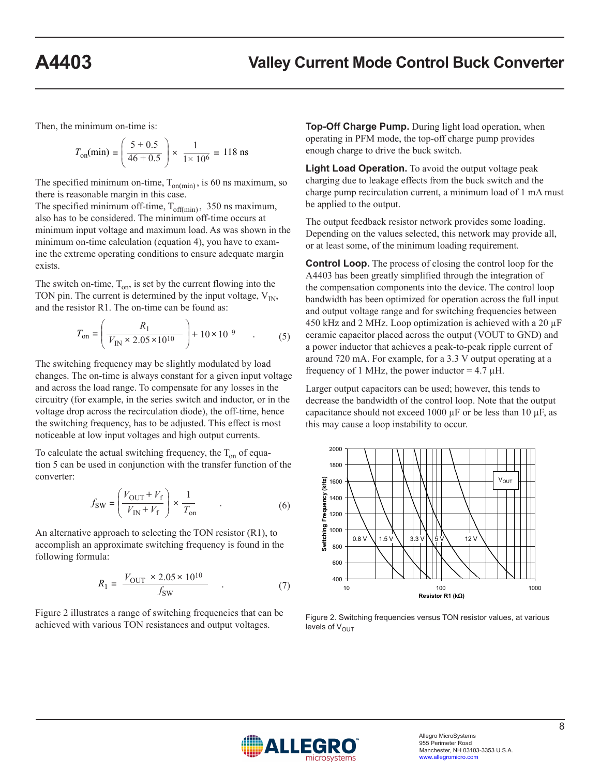Then, the minimum on-time is:

$$
T_{\text{on}}(\text{min}) = \left(\frac{5+0.5}{46+0.5}\right) \times \frac{1}{1 \times 10^6} = 118 \text{ ns}
$$

The specified minimum on-time,  $T_{on(min)}$ , is 60 ns maximum, so there is reasonable margin in this case.

The specified minimum off-time,  $T_{off(min)}$ , 350 ns maximum, also has to be considered. The minimum off-time occurs at minimum input voltage and maximum load. As was shown in the minimum on-time calculation (equation 4), you have to examine the extreme operating conditions to ensure adequate margin exists.

The switch on-time,  $T_{on}$ , is set by the current flowing into the TON pin. The current is determined by the input voltage,  $V_{IN}$ , and the resistor R1. The on-time can be found as:

$$
T_{\text{on}} = \left(\frac{R_1}{V_{\text{IN}} \times 2.05 \times 10^{10}}\right) + 10 \times 10^{-9} \tag{5}
$$

The switching frequency may be slightly modulated by load changes. The on-time is always constant for a given input voltage and across the load range. To compensate for any losses in the circuitry (for example, in the series switch and inductor, or in the voltage drop across the recirculation diode), the off-time, hence the switching frequency, has to be adjusted. This effect is most noticeable at low input voltages and high output currents.

To calculate the actual switching frequency, the  $T_{on}$  of equation 5 can be used in conjunction with the transfer function of the converter:

$$
f_{\text{SW}} = \left(\frac{V_{\text{OUT}} + V_{\text{f}}}{V_{\text{IN}} + V_{\text{f}}}\right) \times \frac{1}{T_{\text{on}}} \tag{6}
$$

An alternative approach to selecting the TON resistor (R1), to accomplish an approximate switching frequency is found in the following formula:

$$
R_1 = \frac{V_{\text{OUT}} \times 2.05 \times 10^{10}}{f_{\text{SW}}} \quad . \tag{7}
$$

Figure 2 illustrates a range of switching frequencies that can be achieved with various TON resistances and output voltages.

**Top-Off Charge Pump.** During light load operation, when operating in PFM mode, the top-off charge pump provides enough charge to drive the buck switch.

**Light Load Operation.** To avoid the output voltage peak charging due to leakage effects from the buck switch and the charge pump recirculation current, a minimum load of 1 mA must be applied to the output.

The output feedback resistor network provides some loading. Depending on the values selected, this network may provide all, or at least some, of the minimum loading requirement.

**Control Loop.** The process of closing the control loop for the A4403 has been greatly simplified through the integration of the compensation components into the device. The control loop bandwidth has been optimized for operation across the full input and output voltage range and for switching frequencies between 450 kHz and 2 MHz. Loop optimization is achieved with a 20  $\mu$ F ceramic capacitor placed across the output (VOUT to GND) and a power inductor that achieves a peak-to-peak ripple current of around 720 mA. For example, for a 3.3 V output operating at a frequency of 1 MHz, the power inductor =  $4.7 \mu$ H.

Larger output capacitors can be used; however, this tends to decrease the bandwidth of the control loop. Note that the output capacitance should not exceed 1000  $\mu$ F or be less than 10  $\mu$ F, as this may cause a loop instability to occur.



Figure 2. Switching frequencies versus TON resistor values, at various levels of  $V_{\text{OUT}}$ 

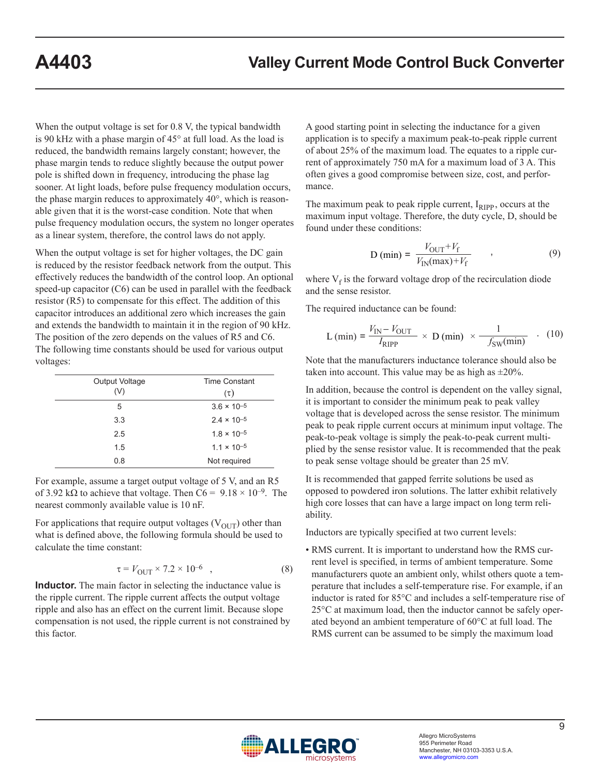When the output voltage is set for 0.8 V, the typical bandwidth is 90 kHz with a phase margin of 45° at full load. As the load is reduced, the bandwidth remains largely constant; however, the phase margin tends to reduce slightly because the output power pole is shifted down in frequency, introducing the phase lag sooner. At light loads, before pulse frequency modulation occurs, the phase margin reduces to approximately 40°, which is reasonable given that it is the worst-case condition. Note that when pulse frequency modulation occurs, the system no longer operates as a linear system, therefore, the control laws do not apply.

When the output voltage is set for higher voltages, the DC gain is reduced by the resistor feedback network from the output. This effectively reduces the bandwidth of the control loop. An optional speed-up capacitor (C6) can be used in parallel with the feedback resistor (R5) to compensate for this effect. The addition of this capacitor introduces an additional zero which increases the gain and extends the bandwidth to maintain it in the region of 90 kHz. The position of the zero depends on the values of R5 and C6. The following time constants should be used for various output voltages:

| Output Voltage<br>(V) | <b>Time Constant</b><br>$(\tau)$ |  |  |
|-----------------------|----------------------------------|--|--|
| 5                     | $3.6 \times 10^{-5}$             |  |  |
| 3.3                   | $2.4 \times 10^{-5}$             |  |  |
| 2.5                   | $1.8 \times 10^{-5}$             |  |  |
| 1.5                   | $1.1 \times 10^{-5}$             |  |  |
| 0.8                   | Not required                     |  |  |

For example, assume a target output voltage of 5 V, and an R5 of 3.92 kΩ to achieve that voltage. Then  $C6 = 9.18 \times 10^{-9}$ . The nearest commonly available value is 10 nF.

For applications that require output voltages  $(V_{\text{OUT}})$  other than what is defined above, the following formula should be used to calculate the time constant:

$$
\tau = V_{\text{OUT}} \times 7.2 \times 10^{-6} \quad , \tag{8}
$$

**Inductor.** The main factor in selecting the inductance value is the ripple current. The ripple current affects the output voltage ripple and also has an effect on the current limit. Because slope compensation is not used, the ripple current is not constrained by this factor.

A good starting point in selecting the inductance for a given application is to specify a maximum peak-to-peak ripple current of about 25% of the maximum load. The equates to a ripple current of approximately 750 mA for a maximum load of 3 A. This often gives a good compromise between size, cost, and performance.

The maximum peak to peak ripple current,  $I_{RIPP}$ , occurs at the maximum input voltage. Therefore, the duty cycle, D, should be found under these conditions:

$$
D (min) = \frac{V_{OUT} + V_f}{V_{IN}(max) + V_f} \tag{9}
$$

where  $V_f$  is the forward voltage drop of the recirculation diode and the sense resistor.

The required inductance can be found:

$$
L (min) = \frac{V_{IN} - V_{OUT}}{I_{RIPP}} \times D (min) \times \frac{1}{-f_{SW}(min)} \quad . \quad (10)
$$

Note that the manufacturers inductance tolerance should also be taken into account. This value may be as high as  $\pm 20\%$ .

In addition, because the control is dependent on the valley signal, it is important to consider the minimum peak to peak valley voltage that is developed across the sense resistor. The minimum peak to peak ripple current occurs at minimum input voltage. The peak-to-peak voltage is simply the peak-to-peak current multiplied by the sense resistor value. It is recommended that the peak to peak sense voltage should be greater than 25 mV.

It is recommended that gapped ferrite solutions be used as opposed to powdered iron solutions. The latter exhibit relatively high core losses that can have a large impact on long term reliability.

Inductors are typically specified at two current levels:

• RMS current. It is important to understand how the RMS current level is specified, in terms of ambient temperature. Some manufacturers quote an ambient only, whilst others quote a temperature that includes a self-temperature rise. For example, if an inductor is rated for 85°C and includes a self-temperature rise of 25°C at maximum load, then the inductor cannot be safely operated beyond an ambient temperature of 60°C at full load. The RMS current can be assumed to be simply the maximum load

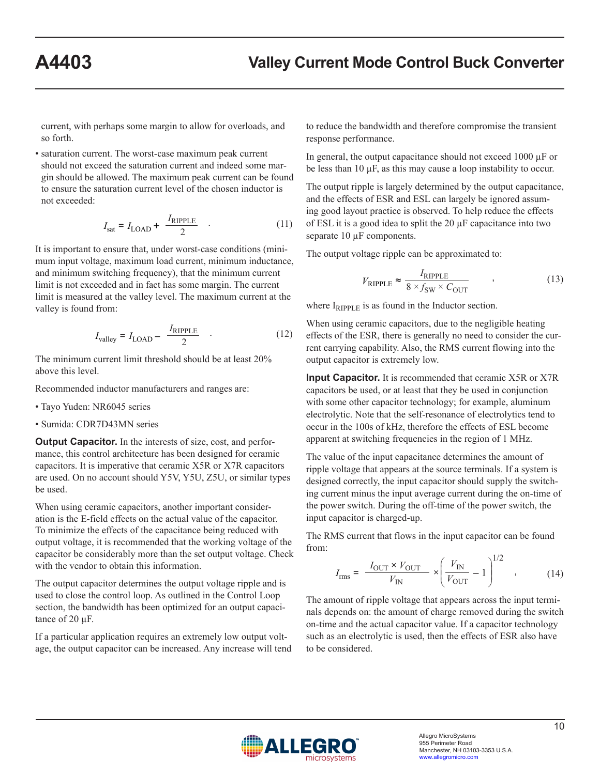current, with perhaps some margin to allow for overloads, and so forth.

• saturation current. The worst-case maximum peak current should not exceed the saturation current and indeed some margin should be allowed. The maximum peak current can be found to ensure the saturation current level of the chosen inductor is not exceeded:

$$
I_{\text{sat}} = I_{\text{LOAD}} + \frac{I_{\text{RIPPLE}}}{2} \quad . \tag{11}
$$

It is important to ensure that, under worst-case conditions (minimum input voltage, maximum load current, minimum inductance, and minimum switching frequency), that the minimum current limit is not exceeded and in fact has some margin. The current limit is measured at the valley level. The maximum current at the valley is found from:

$$
I_{\text{valley}} = I_{\text{LOAD}} - \frac{I_{\text{RIPPLE}}}{2} \quad . \tag{12}
$$

The minimum current limit threshold should be at least 20% above this level.

Recommended inductor manufacturers and ranges are:

- Tayo Yuden: NR6045 series
- Sumida: CDR7D43MN series

**Output Capacitor.** In the interests of size, cost, and performance, this control architecture has been designed for ceramic capacitors. It is imperative that ceramic X5R or X7R capacitors are used. On no account should Y5V, Y5U, Z5U, or similar types be used.

When using ceramic capacitors, another important consideration is the E-field effects on the actual value of the capacitor. To minimize the effects of the capacitance being reduced with output voltage, it is recommended that the working voltage of the capacitor be considerably more than the set output voltage. Check with the vendor to obtain this information.

The output capacitor determines the output voltage ripple and is used to close the control loop. As outlined in the Control Loop section, the bandwidth has been optimized for an output capacitance of 20 µF.

If a particular application requires an extremely low output voltage, the output capacitor can be increased. Any increase will tend to reduce the bandwidth and therefore compromise the transient response performance.

In general, the output capacitance should not exceed 1000 µF or be less than 10 µF, as this may cause a loop instability to occur.

The output ripple is largely determined by the output capacitance, and the effects of ESR and ESL can largely be ignored assuming good layout practice is observed. To help reduce the effects of ESL it is a good idea to split the 20 µF capacitance into two separate 10  $\mu$ F components.

The output voltage ripple can be approximated to:

$$
V_{\text{RIPPLE}} \approx \frac{I_{\text{RIPPLE}}}{8 \times f_{\text{SW}} \times C_{\text{OUT}}}
$$
 (13)

where  $I_{RIPPLE}$  is as found in the Inductor section.

When using ceramic capacitors, due to the negligible heating effects of the ESR, there is generally no need to consider the current carrying capability. Also, the RMS current flowing into the output capacitor is extremely low.

**Input Capacitor.** It is recommended that ceramic X5R or X7R capacitors be used, or at least that they be used in conjunction with some other capacitor technology; for example, aluminum electrolytic. Note that the self-resonance of electrolytics tend to occur in the 100s of kHz, therefore the effects of ESL become apparent at switching frequencies in the region of 1 MHz.

The value of the input capacitance determines the amount of ripple voltage that appears at the source terminals. If a system is designed correctly, the input capacitor should supply the switching current minus the input average current during the on-time of the power switch. During the off-time of the power switch, the input capacitor is charged-up.

The RMS current that flows in the input capacitor can be found from:

$$
I_{\rm rms} = \frac{I_{\rm OUT} \times V_{\rm OUT}}{V_{\rm IN}} \times \left(\frac{V_{\rm IN}}{V_{\rm OUT}} - 1\right)^{1/2} \quad , \tag{14}
$$

The amount of ripple voltage that appears across the input terminals depends on: the amount of charge removed during the switch on-time and the actual capacitor value. If a capacitor technology such as an electrolytic is used, then the effects of ESR also have to be considered.

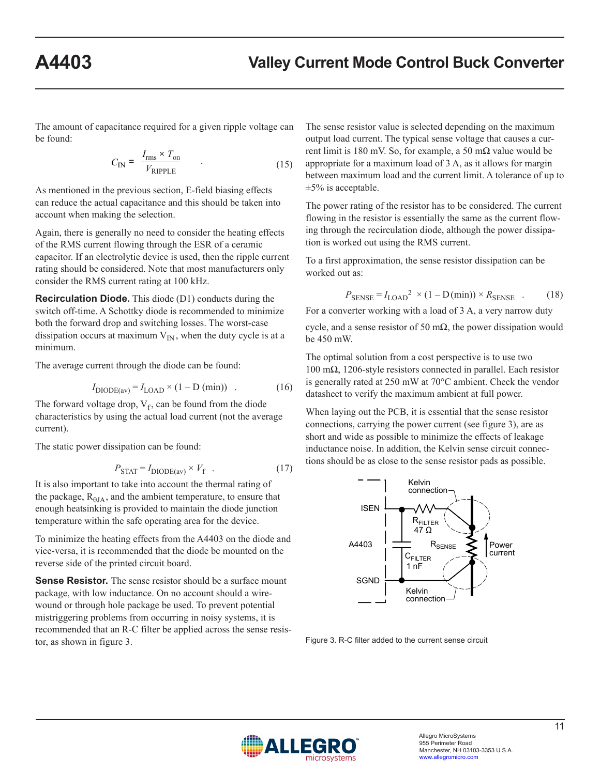The amount of capacitance required for a given ripple voltage can be found:

$$
C_{\rm IN} = \frac{I_{\rm rms} \times T_{\rm on}}{V_{\rm RIPPLE}} \tag{15}
$$

As mentioned in the previous section, E-field biasing effects can reduce the actual capacitance and this should be taken into account when making the selection.

Again, there is generally no need to consider the heating effects of the RMS current flowing through the ESR of a ceramic capacitor. If an electrolytic device is used, then the ripple current rating should be considered. Note that most manufacturers only consider the RMS current rating at 100 kHz.

**Recirculation Diode.** This diode (D1) conducts during the switch off-time. A Schottky diode is recommended to minimize both the forward drop and switching losses. The worst-case dissipation occurs at maximum  $V_{IN}$ , when the duty cycle is at a minimum.

The average current through the diode can be found:

$$
I_{\text{DIODE}(av)} = I_{\text{LOAD}} \times (1 - \text{D (min)}) \quad . \tag{16}
$$

The forward voltage drop,  $V_f$ , can be found from the diode characteristics by using the actual load current (not the average current).

The static power dissipation can be found:

$$
P_{\text{STAT}} = I_{\text{DIODE}(av)} \times V_{\text{f}} \quad . \tag{17}
$$

It is also important to take into account the thermal rating of the package,  $R<sub>0JA</sub>$ , and the ambient temperature, to ensure that enough heatsinking is provided to maintain the diode junction temperature within the safe operating area for the device.

To minimize the heating effects from the A4403 on the diode and vice-versa, it is recommended that the diode be mounted on the reverse side of the printed circuit board.

**Sense Resistor.** The sense resistor should be a surface mount package, with low inductance. On no account should a wirewound or through hole package be used. To prevent potential mistriggering problems from occurring in noisy systems, it is recommended that an R-C filter be applied across the sense resistor, as shown in figure 3.

The sense resistor value is selected depending on the maximum output load current. The typical sense voltage that causes a current limit is 180 mV. So, for example, a 50 m $\Omega$  value would be appropriate for a maximum load of 3 A, as it allows for margin between maximum load and the current limit. A tolerance of up to  $\pm 5\%$  is acceptable.

The power rating of the resistor has to be considered. The current flowing in the resistor is essentially the same as the current flowing through the recirculation diode, although the power dissipation is worked out using the RMS current.

To a first approximation, the sense resistor dissipation can be worked out as:

$$
P_{\text{SENSE}} = I_{\text{LOAD}}^2 \times (1 - \text{D(min)}) \times R_{\text{SENSE}} \quad . \tag{18}
$$

For a converter working with a load of 3 A, a very narrow duty cycle, and a sense resistor of 50 m $\Omega$ , the power dissipation would be 450 mW.

The optimal solution from a cost perspective is to use two 100 mΩ, 1206-style resistors connected in parallel. Each resistor is generally rated at 250 mW at 70°C ambient. Check the vendor datasheet to verify the maximum ambient at full power.

When laying out the PCB, it is essential that the sense resistor connections, carrying the power current (see figure 3), are as short and wide as possible to minimize the effects of leakage inductance noise. In addition, the Kelvin sense circuit connections should be as close to the sense resistor pads as possible.



Figure 3. R-C filter added to the current sense circuit

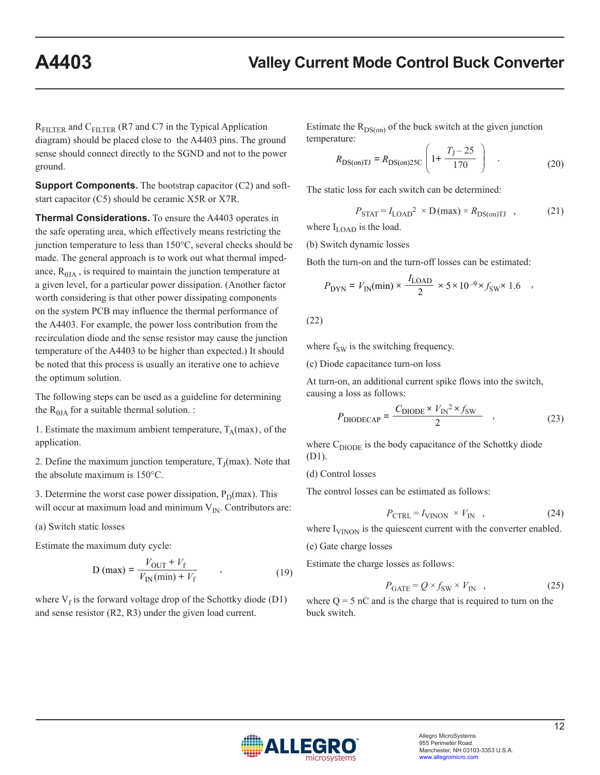$R_{\text{FILTER}}$  and  $C_{\text{FILTER}}$  (R7 and C7 in the Typical Application diagram) should be placed close to the A4403 pins. The ground sense should connect directly to the SGND and not to the power ground.

**Support Components.** The bootstrap capacitor (C2) and softstart capacitor (C5) should be ceramic X5R or X7R.

**Thermal Considerations.** To ensure the A4403 operates in the safe operating area, which effectively means restricting the junction temperature to less than 150°C, several checks should be made. The general approach is to work out what thermal impedance,  $R<sub>0JA</sub>$ , is required to maintain the junction temperature at a given level, for a particular power dissipation. (Another factor worth considering is that other power dissipating components on the system PCB may influence the thermal performance of the A4403. For example, the power loss contribution from the recirculation diode and the sense resistor may cause the junction temperature of the A4403 to be higher than expected.) It should be noted that this process is usually an iterative one to achieve the optimum solution.

The following steps can be used as a guideline for determining the  $R_{\theta JA}$  for a suitable thermal solution. :

1. Estimate the maximum ambient temperature,  $T_A(max)$ , of the application.

2. Define the maximum junction temperature,  $T<sub>I</sub>(max)$ . Note that the absolute maximum is 150°C.

3. Determine the worst case power dissipation,  $P_D(max)$ . This will occur at maximum load and minimum  $V_{IN}$ . Contributors are:

(a) Switch static losses

Estimate the maximum duty cycle:

$$
D \text{ (max)} = \frac{V_{\text{OUT}} + V_{\text{f}}}{V_{\text{IN}}(\text{min}) + V_{\text{f}}}
$$
 (19)

where  $V_f$  is the forward voltage drop of the Schottky diode (D1) and sense resistor (R2, R3) under the given load current.

Estimate the  $R_{DS(on)}$  of the buck switch at the given junction temperature:

$$
R_{\text{DS}(on)TI} = R_{\text{DS}(on)25C} \left( 1 + \frac{T_J - 25}{170} \right) \quad . \tag{20}
$$

The static loss for each switch can be determined:

$$
P_{\text{STAT}} = I_{\text{LOAD}}^2 \times D(\text{max}) \times R_{\text{DS}(on) \text{TI}} \quad , \tag{21}
$$

where  $I_{\text{LOAD}}$  is the load.

(b) Switch dynamic losses

Both the turn-on and the turn-off losses can be estimated:

$$
P_{\rm DYN} = V_{\rm IN}(\rm min) \times \frac{I_{\rm LOAD}}{2} \times 5 \times 10^{-9} \times f_{\rm SW} \times 1.6 \quad ,
$$

(22)

where  $f_{SW}$  is the switching frequency.

(c) Diode capacitance turn-on loss

At turn-on, an additional current spike flows into the switch, causing a loss as follows:

$$
P_{\text{DIODECAP}} = \frac{C_{\text{DIODE}} \times V_{\text{IN}}^2 \times f_{\text{SW}}}{2} \quad , \tag{23}
$$

where  $C_{\text{DIODE}}$  is the body capacitance of the Schottky diode (D1).

(d) Control losses

The control losses can be estimated as follows:

$$
P_{\text{CTRL}} = I_{\text{VINON}} \times V_{\text{IN}} \quad , \tag{24}
$$

where  $I_{\text{VINON}}$  is the quiescent current with the converter enabled.

(e) Gate charge losses

Estimate the charge losses as follows:

$$
P_{\text{GATE}} = Q \times f_{\text{SW}} \times V_{\text{IN}} \quad , \tag{25}
$$

where  $Q = 5$  nC and is the charge that is required to turn on the buck switch.

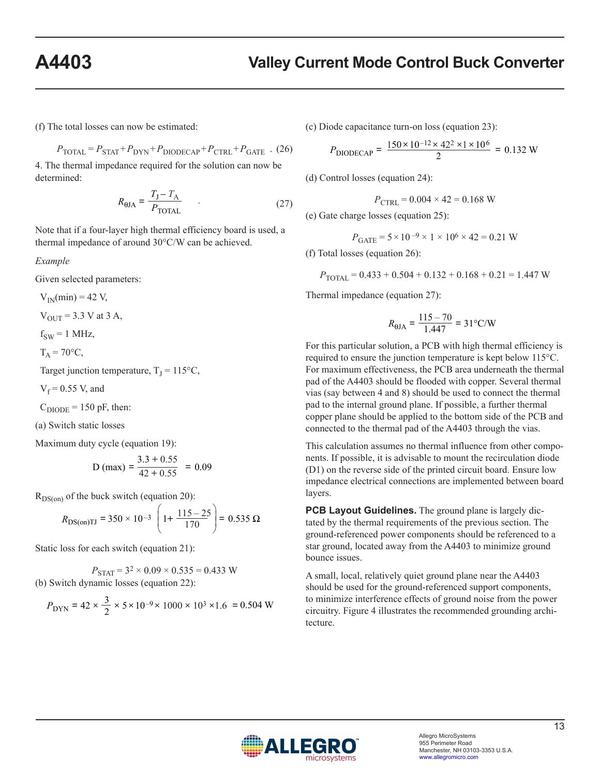(f) The total losses can now be estimated:

$$
P_{\text{TOTAL}} = P_{\text{STAT}} + P_{\text{DYN}} + P_{\text{DIODECAP}} + P_{\text{CTRL}} + P_{\text{GATE}} \quad (26)
$$

4. The thermal impedance required for the solution can now be determined:

$$
R_{\text{HJA}} = \frac{T_{\text{J}} - T_{\text{A}}}{P_{\text{TOTAL}}} \tag{27}
$$

Note that if a four-layer high thermal efficiency board is used, a thermal impedance of around 30°C/W can be achieved.

*Example*

Given selected parameters:

 $V_{IN}(min) = 42 V$ ,

 $V_{\text{OUT}} = 3.3 \text{ V at } 3 \text{ A},$ 

 $f_{SW} = 1$  MHz,

$$
T_A = 70^{\circ}C,
$$

Target junction temperature,  $T_I = 115$ °C,

 $V_f = 0.55$  V, and

 $C_{\text{DIODE}}$  = 150 pF, then:

(a) Switch static losses

Maximum duty cycle (equation 19):

D (max) = 
$$
\frac{3.3 + 0.55}{42 + 0.55} = 0.09
$$

 $R_{DS(on)}$  of the buck switch (equation 20):

$$
R_{\text{DS}(on)TI} = 350 \times 10^{-3} \left( 1 + \frac{115 - 25}{170} \right) = 0.535 \,\Omega
$$

Static loss for each switch (equation 21):

 $P_{\text{STAT}} = 3^2 \times 0.09 \times 0.535 = 0.433$  W (b) Switch dynamic losses (equation 22):

$$
P_{\text{DYN}} = 42 \times \frac{3}{2} \times 5 \times 10^{-9} \times 1000 \times 10^3 \times 1.6 = 0.504 \text{ W}
$$

(c) Diode capacitance turn-on loss (equation 23):

$$
P_{\text{DIODECAP}} = \frac{150 \times 10^{-12} \times 42^2 \times 1 \times 10^6}{2} = 0.132 \text{ W}
$$

(d) Control losses (equation 24):

$$
P_{\text{CTRL}} = 0.004 \times 42 = 0.168 \text{ W}
$$

(e) Gate charge losses (equation 25):

$$
P_{\text{GATE}} = 5 \times 10^{-9} \times 1 \times 10^6 \times 42 = 0.21 \text{ W}
$$

(f) Total losses (equation 26):

$$
P_{\text{TOTAL}} = 0.433 + 0.504 + 0.132 + 0.168 + 0.21 = 1.447 \text{ W}
$$

Thermal impedance (equation 27):

$$
R_{\text{QJA}} = \frac{115 - 70}{1.447} = 31^{\circ} \text{C/W}
$$

For this particular solution, a PCB with high thermal efficiency is required to ensure the junction temperature is kept below 115°C. For maximum effectiveness, the PCB area underneath the thermal pad of the A4403 should be flooded with copper. Several thermal vias (say between 4 and 8) should be used to connect the thermal pad to the internal ground plane. If possible, a further thermal copper plane should be applied to the bottom side of the PCB and connected to the thermal pad of the A4403 through the vias.

This calculation assumes no thermal influence from other components. If possible, it is advisable to mount the recirculation diode (D1) on the reverse side of the printed circuit board. Ensure low impedance electrical connections are implemented between board layers.

**PCB Layout Guidelines.** The ground plane is largely dictated by the thermal requirements of the previous section. The ground-referenced power components should be referenced to a star ground, located away from the A4403 to minimize ground bounce issues.

A small, local, relatively quiet ground plane near the A4403 should be used for the ground-referenced support components, to minimize interference effects of ground noise from the power circuitry. Figure 4 illustrates the recommended grounding architecture.

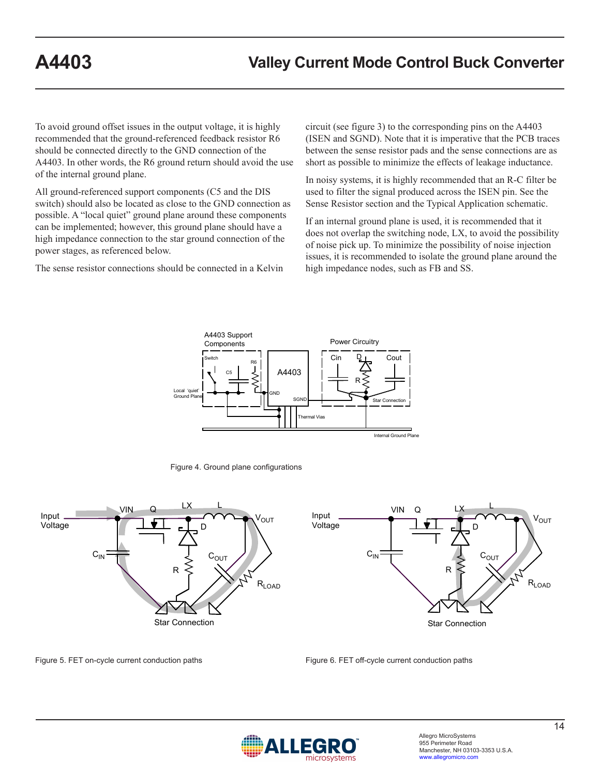To avoid ground offset issues in the output voltage, it is highly recommended that the ground-referenced feedback resistor R6 should be connected directly to the GND connection of the A4403. In other words, the R6 ground return should avoid the use of the internal ground plane.

All ground-referenced support components (C5 and the DIS switch) should also be located as close to the GND connection as possible. A "local quiet" ground plane around these components can be implemented; however, this ground plane should have a high impedance connection to the star ground connection of the power stages, as referenced below.

The sense resistor connections should be connected in a Kelvin

circuit (see figure 3) to the corresponding pins on the A4403 (ISEN and SGND). Note that it is imperative that the PCB traces between the sense resistor pads and the sense connections are as short as possible to minimize the effects of leakage inductance.

In noisy systems, it is highly recommended that an R-C filter be used to filter the signal produced across the ISEN pin. See the Sense Resistor section and the Typical Application schematic.

If an internal ground plane is used, it is recommended that it does not overlap the switching node, LX, to avoid the possibility of noise pick up. To minimize the possibility of noise injection issues, it is recommended to isolate the ground plane around the high impedance nodes, such as FB and SS.



Figure 4. Ground plane configurations



Figure 5. FET on-cycle current conduction paths



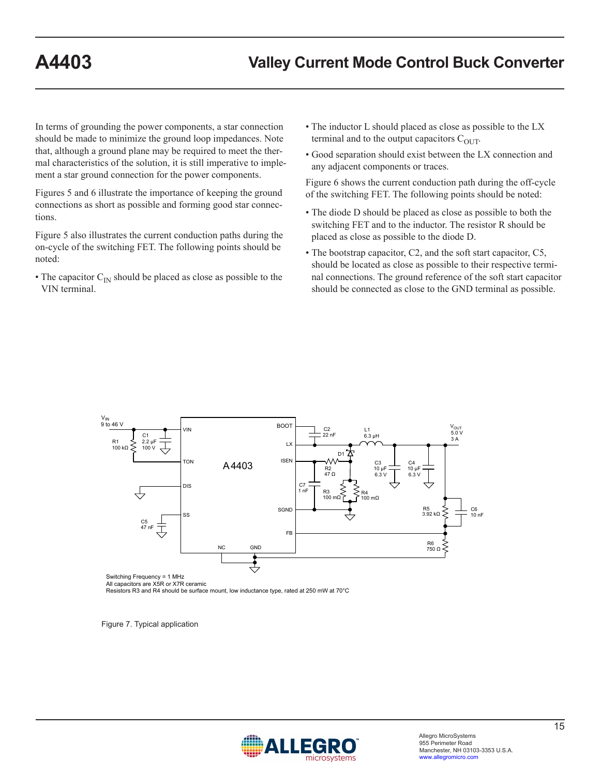In terms of grounding the power components, a star connection should be made to minimize the ground loop impedances. Note that, although a ground plane may be required to meet the thermal characteristics of the solution, it is still imperative to implement a star ground connection for the power components.

Figures 5 and 6 illustrate the importance of keeping the ground connections as short as possible and forming good star connections.

Figure 5 also illustrates the current conduction paths during the on-cycle of the switching FET. The following points should be noted:

• The capacitor  $C_{\text{IN}}$  should be placed as close as possible to the VIN terminal.

- The inductor L should placed as close as possible to the LX terminal and to the output capacitors  $C_{OUT}$ .
- Good separation should exist between the LX connection and any adjacent components or traces.

Figure 6 shows the current conduction path during the off-cycle of the switching FET. The following points should be noted:

- The diode D should be placed as close as possible to both the switching FET and to the inductor. The resistor R should be placed as close as possible to the diode D.
- The bootstrap capacitor, C2, and the soft start capacitor, C5, should be located as close as possible to their respective terminal connections. The ground reference of the soft start capacitor should be connected as close to the GND terminal as possible.



All capacitors are X5R or X7R ceramic

Resistors R3 and R4 should be surface mount, low inductance type, rated at 250 mW at 70°C

Figure 7. Typical application

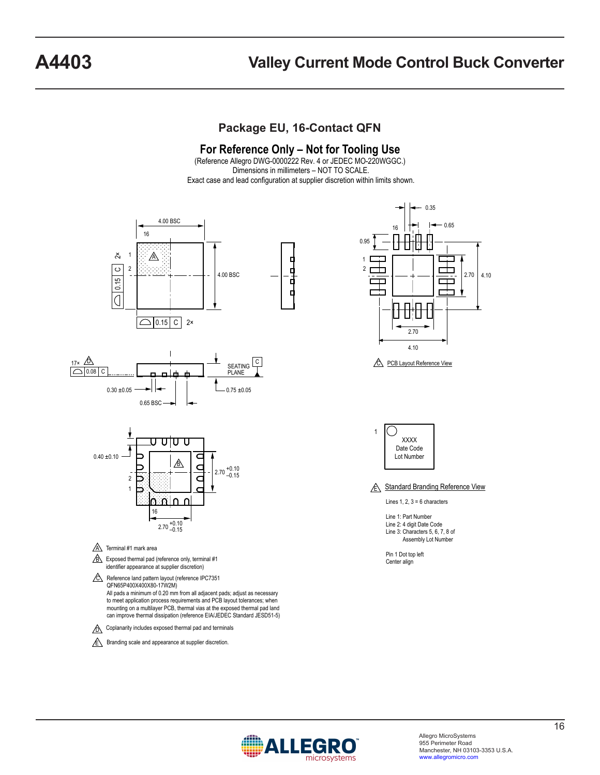# **A4403 Valley Current Mode Control Buck Converter**

## **Package EU, 16-Contact QFN**

#### **For Reference Only – Not for Tooling Use**

(Reference Allegro DWG-0000222 Rev. 4 or JEDEC MO-220WGGC.) Dimensions in millimeters – NOT TO SCALE. Exact case and lead configuration at supplier discretion within limits shown.



All pads a minimum of 0.20 mm from all adjacent pads; adjust as necessary to meet application process requirements and PCB layout tolerances; when mounting on a multilayer PCB, thermal vias at the exposed thermal pad land can improve thermal dissipation (reference EIA/JEDEC Standard JESD51-5)



 $\sqrt{\epsilon}$  Branding scale and appearance at supplier discretion.



C PCB Layout Reference View



**E Standard Branding Reference View** 

Lines  $1, 2, 3 = 6$  characters

- Line 1: Part Number Line 2: 4 digit Date Code Line 3: Characters 5, 6, 7, 8 of Assembly Lot Number
- Pin 1 Dot top left Center align